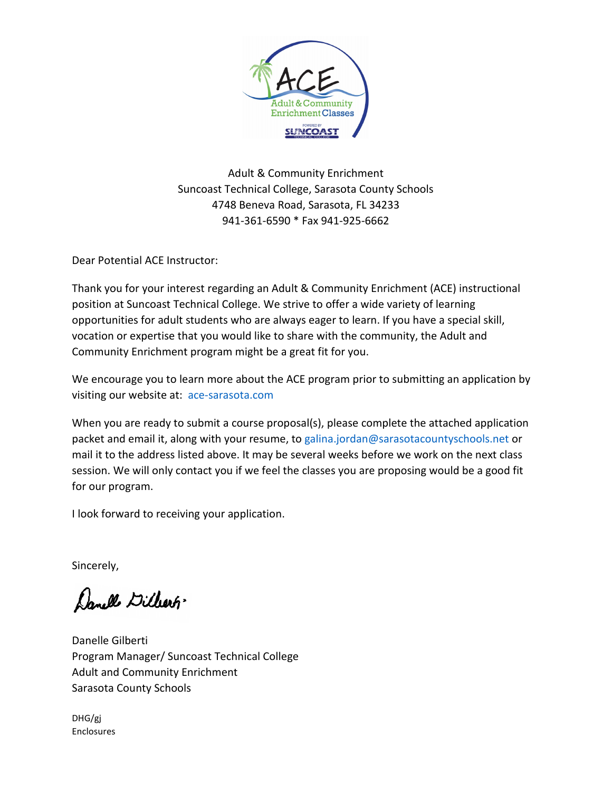

Adult & Community Enrichment Suncoast Technical College, Sarasota County Schools 4748 Beneva Road, Sarasota, FL 34233 941-361-6590 \* Fax 941-925-6662

Dear Potential ACE Instructor:

Thank you for your interest regarding an Adult & Community Enrichment (ACE) instructional position at Suncoast Technical College. We strive to offer a wide variety of learning opportunities for adult students who are always eager to learn. If you have a special skill, vocation or expertise that you would like to share with the community, the Adult and Community Enrichment program might be a great fit for you.

We encourage you to learn more about the ACE program prior to submitting an application by visiting our website at: [ace-sarasota.com](http://www.ace-sarasota.com/)

When you are ready to submit a course proposal(s), please complete the attached application packet and email it, along with your resume, t[o galina.jordan@sarasotacountyschools.net](mailto:galina.jordan@sarasotacountyschools.net) or mail it to the address listed above. It may be several weeks before we work on the next class session. We will only contact you if we feel the classes you are proposing would be a good fit for our program.

I look forward to receiving your application.

Sincerely,

Danelle Dillers

Danelle Gilberti Program Manager/ Suncoast Technical College Adult and Community Enrichment Sarasota County Schools

DHG/gj Enclosures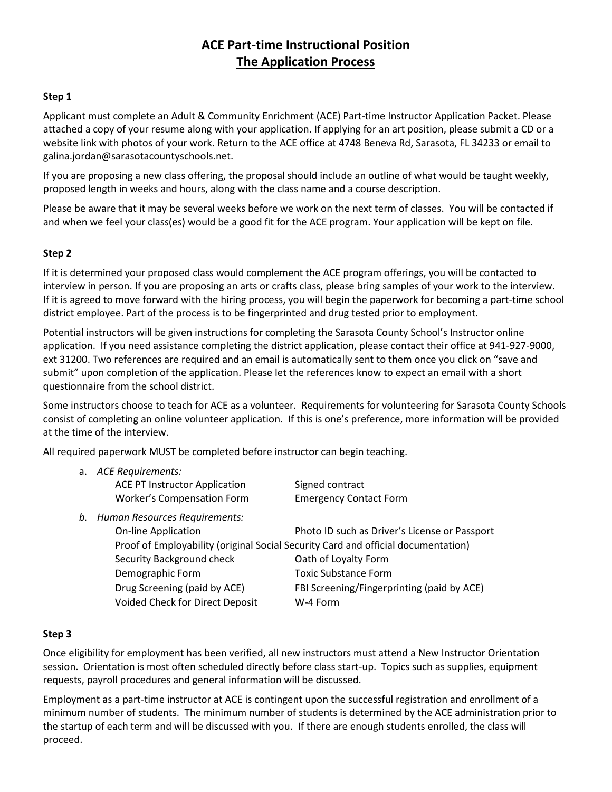## **ACE Part-time Instructional Position The Application Process**

#### **Step 1**

Applicant must complete an Adult & Community Enrichment (ACE) Part-time Instructor Application Packet. Please attached a copy of your resume along with your application. If applying for an art position, please submit a CD or a website link with photos of your work. Return to the ACE office at 4748 Beneva Rd, Sarasota, FL 34233 or email to galina.jordan@sarasotacountyschools.net.

If you are proposing a new class offering, the proposal should include an outline of what would be taught weekly, proposed length in weeks and hours, along with the class name and a course description.

Please be aware that it may be several weeks before we work on the next term of classes. You will be contacted if and when we feel your class(es) would be a good fit for the ACE program. Your application will be kept on file.

#### **Step 2**

If it is determined your proposed class would complement the ACE program offerings, you will be contacted to interview in person. If you are proposing an arts or crafts class, please bring samples of your work to the interview. If it is agreed to move forward with the hiring process, you will begin the paperwork for becoming a part-time school district employee. Part of the process is to be fingerprinted and drug tested prior to employment.

Potential instructors will be given instructions for completing the Sarasota County School's Instructor online application. If you need assistance completing the district application, please contact their office at 941-927-9000, ext 31200. Two references are required and an email is automatically sent to them once you click on "save and submit" upon completion of the application. Please let the references know to expect an email with a short questionnaire from the school district.

Some instructors choose to teach for ACE as a volunteer. Requirements for volunteering for Sarasota County Schools consist of completing an online volunteer application. If this is one's preference, more information will be provided at the time of the interview.

All required paperwork MUST be completed before instructor can begin teaching.

| a. ACE Requirements:                 |                               |  |
|--------------------------------------|-------------------------------|--|
| <b>ACE PT Instructor Application</b> | Signed contract               |  |
| Worker's Compensation Form           | <b>Emergency Contact Form</b> |  |
| h Uuman Deseurese Dequirementer      |                               |  |

*b. Human Resources Requirements:*

| <b>On-line Application</b>      | Photo ID such as Driver's License or Passport                                     |
|---------------------------------|-----------------------------------------------------------------------------------|
|                                 | Proof of Employability (original Social Security Card and official documentation) |
| Security Background check       | Oath of Loyalty Form                                                              |
| Demographic Form                | <b>Toxic Substance Form</b>                                                       |
| Drug Screening (paid by ACE)    | FBI Screening/Fingerprinting (paid by ACE)                                        |
| Voided Check for Direct Deposit | W-4 Form                                                                          |
|                                 |                                                                                   |

#### **Step 3**

Once eligibility for employment has been verified, all new instructors must attend a New Instructor Orientation session. Orientation is most often scheduled directly before class start-up. Topics such as supplies, equipment requests, payroll procedures and general information will be discussed.

Employment as a part-time instructor at ACE is contingent upon the successful registration and enrollment of a minimum number of students. The minimum number of students is determined by the ACE administration prior to the startup of each term and will be discussed with you. If there are enough students enrolled, the class will proceed.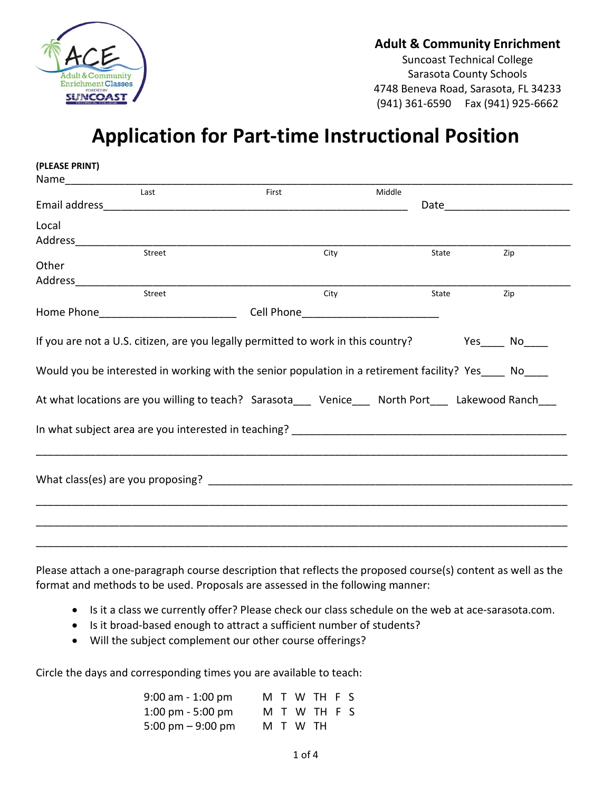

## **Adult & Community Enrichment**

Suncoast Technical College Sarasota County Schools 4748 Beneva Road, Sarasota, FL 34233 (941) 361-6590 Fax (941) 925-6662

# **Application for Part-time Instructional Position**

| (PLEASE PRINT) |                                                                                                                                                                                                                                |        |                                                                                                                                                                                                                                |
|----------------|--------------------------------------------------------------------------------------------------------------------------------------------------------------------------------------------------------------------------------|--------|--------------------------------------------------------------------------------------------------------------------------------------------------------------------------------------------------------------------------------|
|                |                                                                                                                                                                                                                                |        |                                                                                                                                                                                                                                |
| Last           | First                                                                                                                                                                                                                          | Middle |                                                                                                                                                                                                                                |
|                | Email address and the contract of the contract of the contract of the contract of the contract of the contract of the contract of the contract of the contract of the contract of the contract of the contract of the contract |        | Date and the contract of the contract of the contract of the contract of the contract of the contract of the contract of the contract of the contract of the contract of the contract of the contract of the contract of the c |
| Local          |                                                                                                                                                                                                                                |        |                                                                                                                                                                                                                                |
|                |                                                                                                                                                                                                                                |        |                                                                                                                                                                                                                                |
| Street         | City                                                                                                                                                                                                                           | State  | Zip                                                                                                                                                                                                                            |
| Other          |                                                                                                                                                                                                                                |        |                                                                                                                                                                                                                                |
|                |                                                                                                                                                                                                                                |        |                                                                                                                                                                                                                                |
| Street         | City                                                                                                                                                                                                                           | State  | Zip                                                                                                                                                                                                                            |
|                |                                                                                                                                                                                                                                |        |                                                                                                                                                                                                                                |
|                |                                                                                                                                                                                                                                |        |                                                                                                                                                                                                                                |
|                | If you are not a U.S. citizen, are you legally permitted to work in this country? Yes____ No____                                                                                                                               |        |                                                                                                                                                                                                                                |
|                | Would you be interested in working with the senior population in a retirement facility? Yes No                                                                                                                                 |        |                                                                                                                                                                                                                                |
|                | At what locations are you willing to teach? Sarasota___ Venice___ North Port___ Lakewood Ranch___                                                                                                                              |        |                                                                                                                                                                                                                                |
|                |                                                                                                                                                                                                                                |        |                                                                                                                                                                                                                                |
|                |                                                                                                                                                                                                                                |        |                                                                                                                                                                                                                                |
|                |                                                                                                                                                                                                                                |        |                                                                                                                                                                                                                                |
|                |                                                                                                                                                                                                                                |        |                                                                                                                                                                                                                                |
|                |                                                                                                                                                                                                                                |        |                                                                                                                                                                                                                                |
|                |                                                                                                                                                                                                                                |        |                                                                                                                                                                                                                                |

Please attach a one-paragraph course description that reflects the proposed course(s) content as well as the format and methods to be used. Proposals are assessed in the following manner:

- Is it a class we currently offer? Please check our class schedule on the web at ace-sarasota.com.
- Is it broad-based enough to attract a sufficient number of students?
- Will the subject complement our other course offerings?

Circle the days and corresponding times you are available to teach:

| $9:00$ am - 1:00 pm |  | M T W TH F S |  |
|---------------------|--|--------------|--|
| 1:00 pm $-5:00$ pm  |  | M T W TH F S |  |
| 5:00 pm $-$ 9:00 pm |  | M T W TH     |  |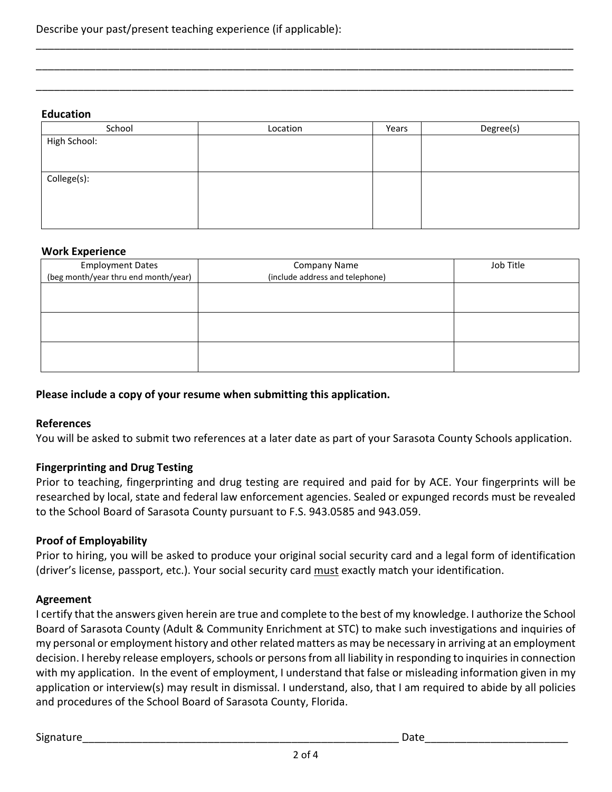#### **Education**

| School       | Location | Years | Degree(s) |
|--------------|----------|-------|-----------|
| High School: |          |       |           |
|              |          |       |           |
|              |          |       |           |
| College(s):  |          |       |           |
|              |          |       |           |
|              |          |       |           |
|              |          |       |           |
|              |          |       |           |

\_\_\_\_\_\_\_\_\_\_\_\_\_\_\_\_\_\_\_\_\_\_\_\_\_\_\_\_\_\_\_\_\_\_\_\_\_\_\_\_\_\_\_\_\_\_\_\_\_\_\_\_\_\_\_\_\_\_\_\_\_\_\_\_\_\_\_\_\_\_\_\_\_\_\_\_\_\_\_\_\_\_\_\_\_\_\_\_\_\_

\_\_\_\_\_\_\_\_\_\_\_\_\_\_\_\_\_\_\_\_\_\_\_\_\_\_\_\_\_\_\_\_\_\_\_\_\_\_\_\_\_\_\_\_\_\_\_\_\_\_\_\_\_\_\_\_\_\_\_\_\_\_\_\_\_\_\_\_\_\_\_\_\_\_\_\_\_\_\_\_\_\_\_\_\_\_\_\_\_\_

\_\_\_\_\_\_\_\_\_\_\_\_\_\_\_\_\_\_\_\_\_\_\_\_\_\_\_\_\_\_\_\_\_\_\_\_\_\_\_\_\_\_\_\_\_\_\_\_\_\_\_\_\_\_\_\_\_\_\_\_\_\_\_\_\_\_\_\_\_\_\_\_\_\_\_\_\_\_\_\_\_\_\_\_\_\_\_\_\_\_

#### **Work Experience**

| <b>Employment Dates</b>              | <b>Company Name</b>             | Job Title |
|--------------------------------------|---------------------------------|-----------|
| (beg month/year thru end month/year) | (include address and telephone) |           |
|                                      |                                 |           |
|                                      |                                 |           |
|                                      |                                 |           |
|                                      |                                 |           |
|                                      |                                 |           |
|                                      |                                 |           |

## **Please include a copy of your resume when submitting this application.**

### **References**

You will be asked to submit two references at a later date as part of your Sarasota County Schools application.

### **Fingerprinting and Drug Testing**

Prior to teaching, fingerprinting and drug testing are required and paid for by ACE. Your fingerprints will be researched by local, state and federal law enforcement agencies. Sealed or expunged records must be revealed to the School Board of Sarasota County pursuant to F.S. 943.0585 and 943.059.

### **Proof of Employability**

Prior to hiring, you will be asked to produce your original social security card and a legal form of identification (driver's license, passport, etc.). Your social security card must exactly match your identification.

### **Agreement**

I certify that the answers given herein are true and complete to the best of my knowledge. I authorize the School Board of Sarasota County (Adult & Community Enrichment at STC) to make such investigations and inquiries of my personal or employment history and other related matters as may be necessary in arriving at an employment decision. I hereby release employers, schools or persons from all liability in responding to inquiries in connection with my application. In the event of employment, I understand that false or misleading information given in my application or interview(s) may result in dismissal. I understand, also, that I am required to abide by all policies and procedures of the School Board of Sarasota County, Florida.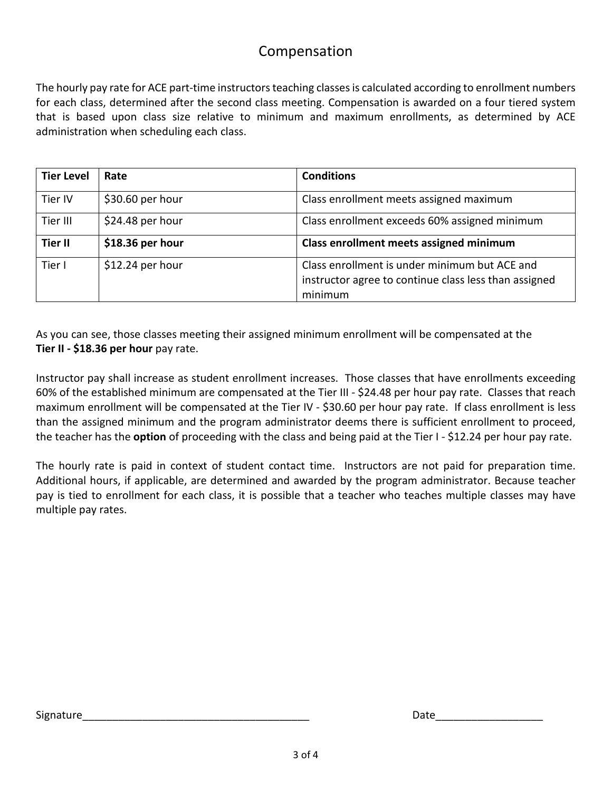# Compensation

The hourly pay rate for ACE part-time instructors teaching classes is calculated according to enrollment numbers for each class, determined after the second class meeting. Compensation is awarded on a four tiered system that is based upon class size relative to minimum and maximum enrollments, as determined by ACE administration when scheduling each class.

| <b>Tier Level</b> | Rate              | <b>Conditions</b>                                                                                                 |
|-------------------|-------------------|-------------------------------------------------------------------------------------------------------------------|
| Tier IV           | \$30.60 per hour  | Class enrollment meets assigned maximum                                                                           |
| Tier III          | \$24.48 per hour  | Class enrollment exceeds 60% assigned minimum                                                                     |
| <b>Tier II</b>    | \$18.36 per hour  | Class enrollment meets assigned minimum                                                                           |
| Tier I            | $$12.24$ per hour | Class enrollment is under minimum but ACE and<br>instructor agree to continue class less than assigned<br>minimum |

As you can see, those classes meeting their assigned minimum enrollment will be compensated at the **Tier II - \$18.36 per hour** pay rate.

Instructor pay shall increase as student enrollment increases. Those classes that have enrollments exceeding 60% of the established minimum are compensated at the Tier III - \$24.48 per hour pay rate. Classes that reach maximum enrollment will be compensated at the Tier IV - \$30.60 per hour pay rate. If class enrollment is less than the assigned minimum and the program administrator deems there is sufficient enrollment to proceed, the teacher has the **option** of proceeding with the class and being paid at the Tier I - \$12.24 per hour pay rate.

The hourly rate is paid in context of student contact time. Instructors are not paid for preparation time. Additional hours, if applicable, are determined and awarded by the program administrator. Because teacher pay is tied to enrollment for each class, it is possible that a teacher who teaches multiple classes may have multiple pay rates.

Signature\_\_\_\_\_\_\_\_\_\_\_\_\_\_\_\_\_\_\_\_\_\_\_\_\_\_\_\_\_\_\_\_\_\_\_\_\_\_ Date\_\_\_\_\_\_\_\_\_\_\_\_\_\_\_\_\_\_